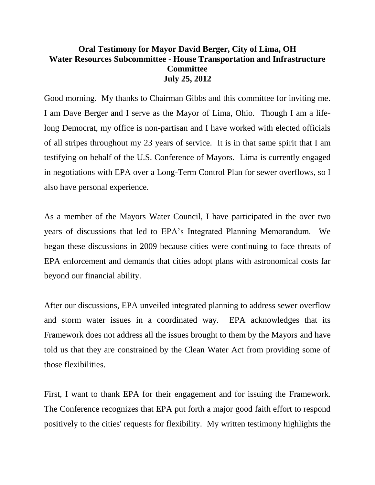## **Oral Testimony for Mayor David Berger, City of Lima, OH Water Resources Subcommittee - House Transportation and Infrastructure Committee July 25, 2012**

Good morning. My thanks to Chairman Gibbs and this committee for inviting me. I am Dave Berger and I serve as the Mayor of Lima, Ohio. Though I am a lifelong Democrat, my office is non-partisan and I have worked with elected officials of all stripes throughout my 23 years of service. It is in that same spirit that I am testifying on behalf of the U.S. Conference of Mayors. Lima is currently engaged in negotiations with EPA over a Long-Term Control Plan for sewer overflows, so I also have personal experience.

As a member of the Mayors Water Council, I have participated in the over two years of discussions that led to EPA's Integrated Planning Memorandum. We began these discussions in 2009 because cities were continuing to face threats of EPA enforcement and demands that cities adopt plans with astronomical costs far beyond our financial ability.

After our discussions, EPA unveiled integrated planning to address sewer overflow and storm water issues in a coordinated way. EPA acknowledges that its Framework does not address all the issues brought to them by the Mayors and have told us that they are constrained by the Clean Water Act from providing some of those flexibilities.

First, I want to thank EPA for their engagement and for issuing the Framework. The Conference recognizes that EPA put forth a major good faith effort to respond positively to the cities' requests for flexibility. My written testimony highlights the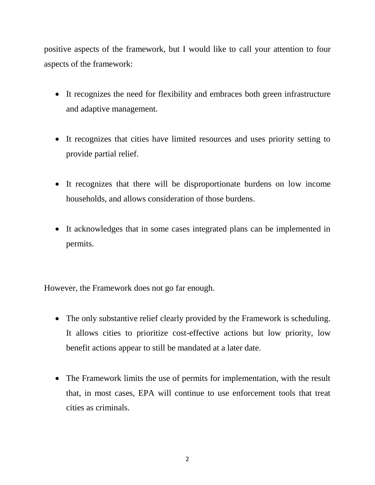positive aspects of the framework, but I would like to call your attention to four aspects of the framework:

- It recognizes the need for flexibility and embraces both green infrastructure and adaptive management.
- It recognizes that cities have limited resources and uses priority setting to provide partial relief.
- It recognizes that there will be disproportionate burdens on low income households, and allows consideration of those burdens.
- It acknowledges that in some cases integrated plans can be implemented in permits.

However, the Framework does not go far enough.

- The only substantive relief clearly provided by the Framework is scheduling. It allows cities to prioritize cost-effective actions but low priority, low benefit actions appear to still be mandated at a later date.
- The Framework limits the use of permits for implementation, with the result that, in most cases, EPA will continue to use enforcement tools that treat cities as criminals.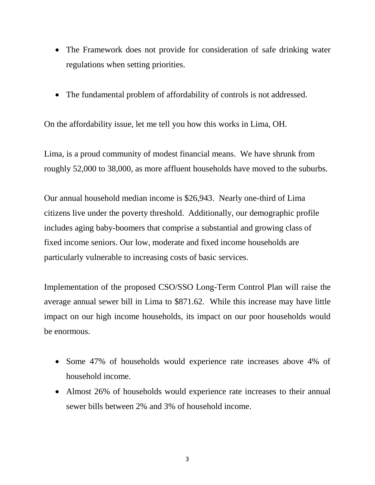- The Framework does not provide for consideration of safe drinking water regulations when setting priorities.
- The fundamental problem of affordability of controls is not addressed.

On the affordability issue, let me tell you how this works in Lima, OH.

Lima, is a proud community of modest financial means. We have shrunk from roughly 52,000 to 38,000, as more affluent households have moved to the suburbs.

Our annual household median income is \$26,943. Nearly one-third of Lima citizens live under the poverty threshold. Additionally, our demographic profile includes aging baby-boomers that comprise a substantial and growing class of fixed income seniors. Our low, moderate and fixed income households are particularly vulnerable to increasing costs of basic services.

Implementation of the proposed CSO/SSO Long-Term Control Plan will raise the average annual sewer bill in Lima to \$871.62. While this increase may have little impact on our high income households, its impact on our poor households would be enormous.

- Some 47% of households would experience rate increases above 4% of household income.
- Almost 26% of households would experience rate increases to their annual sewer bills between 2% and 3% of household income.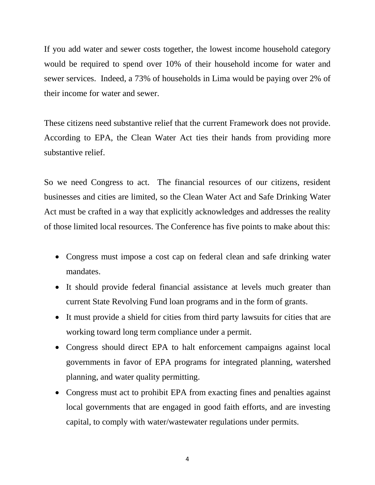If you add water and sewer costs together, the lowest income household category would be required to spend over 10% of their household income for water and sewer services. Indeed, a 73% of households in Lima would be paying over 2% of their income for water and sewer.

These citizens need substantive relief that the current Framework does not provide. According to EPA, the Clean Water Act ties their hands from providing more substantive relief.

So we need Congress to act. The financial resources of our citizens, resident businesses and cities are limited, so the Clean Water Act and Safe Drinking Water Act must be crafted in a way that explicitly acknowledges and addresses the reality of those limited local resources. The Conference has five points to make about this:

- Congress must impose a cost cap on federal clean and safe drinking water mandates.
- It should provide federal financial assistance at levels much greater than current State Revolving Fund loan programs and in the form of grants.
- It must provide a shield for cities from third party lawsuits for cities that are working toward long term compliance under a permit.
- Congress should direct EPA to halt enforcement campaigns against local governments in favor of EPA programs for integrated planning, watershed planning, and water quality permitting.
- Congress must act to prohibit EPA from exacting fines and penalties against local governments that are engaged in good faith efforts, and are investing capital, to comply with water/wastewater regulations under permits.